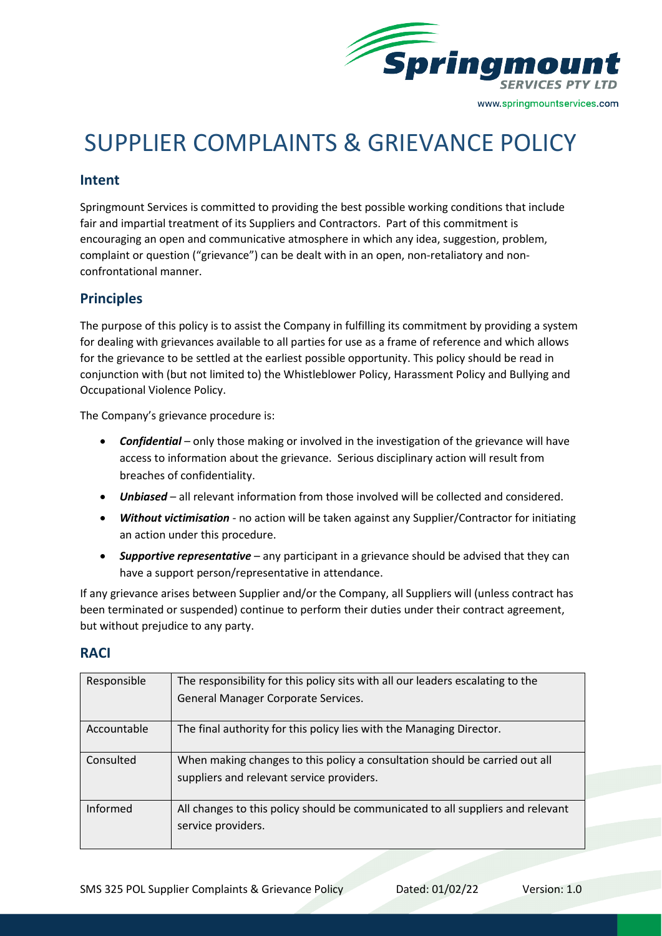

# SUPPLIER COMPLAINTS & GRIEVANCE POLICY

## **Intent**

Springmount Services is committed to providing the best possible working conditions that include fair and impartial treatment of its Suppliers and Contractors. Part of this commitment is encouraging an open and communicative atmosphere in which any idea, suggestion, problem, complaint or question ("grievance") can be dealt with in an open, non-retaliatory and nonconfrontational manner.

## **Principles**

The purpose of this policy is to assist the Company in fulfilling its commitment by providing a system for dealing with grievances available to all parties for use as a frame of reference and which allows for the grievance to be settled at the earliest possible opportunity. This policy should be read in conjunction with (but not limited to) the Whistleblower Policy, Harassment Policy and Bullying and Occupational Violence Policy.

The Company's grievance procedure is:

- *Confidential* only those making or involved in the investigation of the grievance will have access to information about the grievance. Serious disciplinary action will result from breaches of confidentiality.
- *Unbiased* all relevant information from those involved will be collected and considered.
- *Without victimisation* no action will be taken against any Supplier/Contractor for initiating an action under this procedure.
- *Supportive representative* any participant in a grievance should be advised that they can have a support person/representative in attendance.

If any grievance arises between Supplier and/or the Company, all Suppliers will (unless contract has been terminated or suspended) continue to perform their duties under their contract agreement, but without prejudice to any party.

#### **RACI**

| Responsible | The responsibility for this policy sits with all our leaders escalating to the                                           |
|-------------|--------------------------------------------------------------------------------------------------------------------------|
|             | General Manager Corporate Services.                                                                                      |
| Accountable | The final authority for this policy lies with the Managing Director.                                                     |
| Consulted   | When making changes to this policy a consultation should be carried out all<br>suppliers and relevant service providers. |
| Informed    | All changes to this policy should be communicated to all suppliers and relevant<br>service providers.                    |